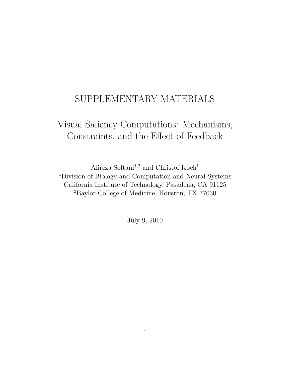## SUPPLEMENTARY MATERIALS

# Visual Saliency Computations: Mechanisms, Constraints, and the Effect of Feedback

Alireza Soltani<sup>1,2</sup> and Christof Koch<sup>1</sup> <sup>1</sup>Division of Biology and Computation and Neural Systems California Institute of Technology, Pasadena, CA 91125 <sup>2</sup>Baylor College of Medicine, Houston, TX 77030

July 9, 2010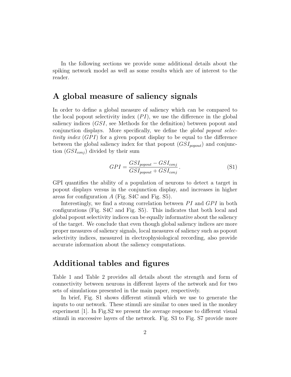In the following sections we provide some additional details about the spiking network model as well as some results which are of interest to the reader.

### A global measure of saliency signals

In order to define a global measure of saliency which can be compared to the local popout selectivity index  $(PI)$ , we use the difference in the global saliency indices (GSI, see Methods for the definition) between popout and conjunction displays. More specifically, we define the *global popout selec*tivity index  $(GPI)$  for a given popout display to be equal to the difference between the global saliency index for that popout  $(GSI_{popout})$  and conjunction  $(GSI_{conj})$  divided by their sum

$$
GPI = \frac{GSI_{popout} - GSI_{conj}}{GSI_{popout} + GSI_{conj}}.
$$
\n
$$
(S1)
$$

GPI quantifies the ability of a population of neurons to detect a target in popout displays versus in the conjunction display, and increases in higher areas for configuration A (Fig. S4C and Fig. S5).

Interestingly, we find a strong correlation between  $PI$  and  $GPI$  in both configurations (Fig. S4C and Fig. S5). This indicates that both local and global popout selectivity indices can be equally informative about the saliency of the target. We conclude that even though global saliency indices are more proper measures of saliency signals, local measures of saliency such as popout selectivity indices, measured in electrophysiological recording, also provide accurate information about the saliency computations.

#### Additional tables and figures

Table 1 and Table 2 provides all details about the strength and form of connectivity between neurons in different layers of the network and for two sets of simulations presented in the main paper, respectively.

In brief, Fig. S1 shows different stimuli which we use to generate the inputs to our network. These stimuli are similar to ones used in the monkey experiment [1]. In Fig.S2 we present the average response to different visual stimuli in successive layers of the network. Fig. S3 to Fig. S7 provide more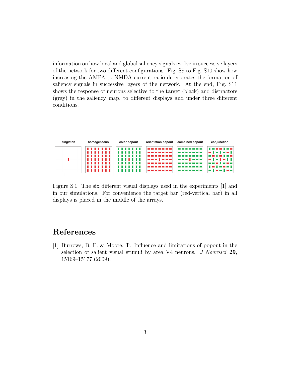information on how local and global saliency signals evolve in successive layers of the network for two different configurations. Fig. S8 to Fig. S10 show how increasing the AMPA to NMDA current ratio deteriorates the formation of saliency signals in successive layers of the network. At the end, Fig. S11 shows the response of neurons selective to the target (black) and distractors (gray) in the saliency map, to different displays and under three different conditions.

| singleton | homogeneous  | color popout | orientation popout                    | combined popout                                                        | conjunction                                                                                                                                                                                                                                                                                                            |
|-----------|--------------|--------------|---------------------------------------|------------------------------------------------------------------------|------------------------------------------------------------------------------------------------------------------------------------------------------------------------------------------------------------------------------------------------------------------------------------------------------------------------|
|           | <br><br><br> | .<br>.<br>.  | -------<br>-----<br>-------<br>------ | -------<br>-------<br>--------<br><b><i><u>PERSON BENEDICT</u></i></b> | $1 - 1 - 1 - 1$<br>$\begin{array}{c} \begin{array}{c} \hline \textbf{1} & \textbf{1} & \textbf{1} & \textbf{1} & \textbf{1} & \textbf{1} \\ \hline \textbf{1} & \textbf{1} & \textbf{1} & \textbf{1} & \textbf{1} & \textbf{1} & \textbf{1} & \textbf{1} \\ \hline \end{array} \end{array}$<br>------<br>$-1 - 1 - 11$ |
|           | <br><br>     |              |                                       | -------<br>-------<br>------                                           | -------<br>$\mathbf{I} = \mathbf{I} = \mathbf{I} + \mathbf{I}$<br>$\blacksquare$                                                                                                                                                                                                                                       |

Figure S 1: The six different visual displays used in the experiments [1] and in our simulations. For convenience the target bar (red-vertical bar) in all displays is placed in the middle of the arrays.

## References

[1] Burrows, B. E. & Moore, T. Influence and limitations of popout in the selection of salient visual stimuli by area V4 neurons. *J Neurosci* 29, 15169–15177 (2009).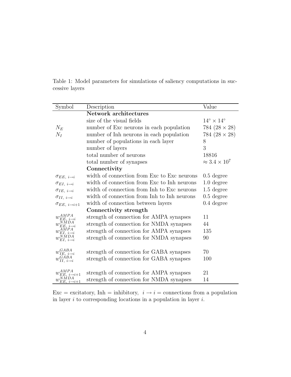Table 1: Model parameters for simulations of saliency computations in successive layers

| Symbol                             | Description                                 | Value                          |  |  |  |
|------------------------------------|---------------------------------------------|--------------------------------|--|--|--|
|                                    | Network architectures                       |                                |  |  |  |
|                                    | size of the visual fields                   | $14^{\circ} \times 14^{\circ}$ |  |  |  |
| $N_E$                              | number of Exc neurons in each population    | 784 $(28 \times 28)$           |  |  |  |
| $N_I$                              | number of Inh neurons in each population    | 784 $(28 \times 28)$           |  |  |  |
|                                    | number of populations in each layer         | 8                              |  |  |  |
|                                    | number of layers                            | 3                              |  |  |  |
|                                    | total number of neurons                     | 18816                          |  |  |  |
|                                    | total number of synapses                    | $\approx 3.4 \times 10^7$      |  |  |  |
|                                    | Connectivity                                |                                |  |  |  |
| $\sigma_{EE, i \rightarrow i}$     | width of connection from Exc to Exc neurons | $0.5$ degree                   |  |  |  |
| $\sigma_{EI, i \rightarrow i}$     | width of connection from Exc to Inh neurons | $1.0$ degree                   |  |  |  |
| $\sigma_{IE, i \rightarrow i}$     | width of connection from Inh to Exc neurons | $1.5$ degree                   |  |  |  |
| $\sigma_{II, i \rightarrow i}$     | width of connection from Inh to Inh neurons | $0.5$ degree                   |  |  |  |
| $\sigma_{EE, i \rightarrow i+1}$   | width of connection between layers          | $0.4 \text{ degree}$           |  |  |  |
|                                    | Connectivity strength                       |                                |  |  |  |
| $w_{EE, i \rightarrow i}^{AMPA}$   | strength of connection for AMPA synapses    | 11                             |  |  |  |
| $w^{NMDA}_{EE, i \rightarrow i}$   | strength of connection for NMDA synapses    | 44                             |  |  |  |
| $w_{EI, i \rightarrow i}^{AMPA}$   | strength of connection for AMPA synapses    | 135                            |  |  |  |
| $w_{EI, i \rightarrow i}^{NMDA}$   | strength of connection for NMDA synapses    | 90                             |  |  |  |
|                                    |                                             |                                |  |  |  |
| $w_{IE, i \rightarrow i}^{GABA}$   | strength of connection for GABA synapses    | 70                             |  |  |  |
| GÁBA,<br>$w_{II, i \rightarrow i}$ | strength of connection for GABA synapses    | 100                            |  |  |  |
|                                    |                                             |                                |  |  |  |
| $w_{EE, i\rightarrow i+1}^{AMPA}$  | strength of connection for AMPA synapses    | 21                             |  |  |  |
| $w_{EE, i\rightarrow i+1}^{NMDA}$  | strength of connection for NMDA synapses    | 14                             |  |  |  |

Exc = excitatory, Inh = inhibitory,  $i \rightarrow i$  = connections from a population in layer  $i$  to corresponding locations in a population in layer  $i$ .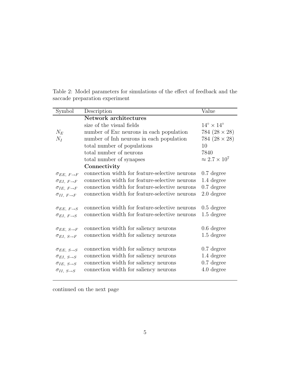| Symbol                         | Description                                    | Value                          |
|--------------------------------|------------------------------------------------|--------------------------------|
|                                | <b>Network architectures</b>                   |                                |
|                                | size of the visual fields                      | $14^{\circ} \times 14^{\circ}$ |
| $N_E$                          | number of Exc neurons in each population       | 784 $(28 \times 28)$           |
| $N_I$                          | number of Inh neurons in each population       | 784 $(28 \times 28)$           |
|                                | total number of populations                    | 10                             |
|                                | total number of neurons                        | 7840                           |
|                                | total number of synapses                       | $\approx 2.7 \times 10^7$      |
|                                | Connectivity                                   |                                |
| $\sigma_{EE, F \rightarrow F}$ | connection width for feature-selective neurons | $0.7$ degree                   |
| $\sigma_{EI, F \rightarrow F}$ | connection width for feature-selective neurons | 1.4 degree                     |
| $\sigma_{IE}, F \rightarrow F$ | connection width for feature-selective neurons | $0.7$ degree                   |
| $\sigma_{II}, F \rightarrow F$ | connection width for feature-selective neurons | $2.0$ degree                   |
|                                |                                                |                                |
| $\sigma_{EE, F \rightarrow S}$ | connection width for feature-selective neurons | $0.5$ degree                   |
| $\sigma_{EI, F \rightarrow S}$ | connection width for feature-selective neurons | $1.5$ degree                   |
|                                |                                                |                                |
| $\sigma_{EE, S \rightarrow F}$ | connection width for saliency neurons          | $0.6$ degree                   |
| $\sigma_{EI, S \rightarrow F}$ | connection width for saliency neurons          | $1.5$ degree                   |
|                                |                                                |                                |
| $\sigma_{EE, S\rightarrow S}$  | connection width for saliency neurons          | $0.7$ degree                   |
| $\sigma_{EI, S \rightarrow S}$ | connection width for saliency neurons          | 1.4 degree                     |
| $\sigma_{IE},\,s\rightarrow S$ | connection width for saliency neurons          | $0.7$ degree                   |
| $\sigma_{II, S \rightarrow S}$ | connection width for saliency neurons          | 4.0 degree                     |

Table 2: Model parameters for simulations of the effect of feedback and the saccade preparation experiment

continued on the next page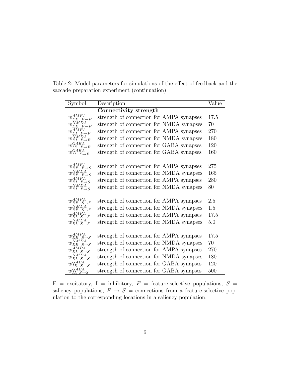Table 2: Model parameters for simulations of the effect of feedback and the saccade preparation experiment (continuation)

| Symbol                                          | Description                              | Value |
|-------------------------------------------------|------------------------------------------|-------|
|                                                 | Connectivity strength                    |       |
| $w_{EE, F\rightarrow F}^{AMPA}$                 | strength of connection for AMPA synapses | 17.5  |
| NMDA,<br>$w_{EE,\ F\rightarrow F}$              | strength of connection for NMDA synapses | 70    |
| $w_{EI, F\rightarrow F}^{\overline{AMPA}}$      | strength of connection for AMPA synapses | 270   |
| $w_{EI, F\rightarrow F}^{\overline{N}MDA}$      | strength of connection for NMDA synapses | 180   |
| $w_{IE, F\rightarrow F}^{GABA}$                 | strength of connection for GABA synapses | 120   |
| $w_{II, F\rightarrow F}^{G\acute{A}BA}$         | strength of connection for GABA synapses | 160   |
|                                                 |                                          |       |
| $w_{EE, F \rightarrow S}^{AMPA}$                | strength of connection for AMPA synapses | 275   |
| $w_{EE, F \rightarrow S}^{NMDA}$                | strength of connection for NMDA synapses | 165   |
| $w_{EI, F\rightarrow S}^{AMPA}$                 | strength of connection for AMPA synapses | 280   |
| $w_{EI, F \rightarrow S}^{NMDA}$                | strength of connection for NMDA synapses | 80    |
|                                                 |                                          |       |
| $w_{EE, S\rightarrow F}^{AMPA}$                 | strength of connection for AMPA synapses | 2.5   |
| $w_{EE, S\rightarrow F}^{NMDA}$                 | strength of connection for NMDA synapses | 1.5   |
| $w_{EI, S\rightarrow F}^{AMPA}$                 | strength of connection for AMPA synapses | 17.5  |
| $w_{EI, S\rightarrow F}^{NMDA}$                 | strength of connection for NMDA synapses | 5.0   |
|                                                 |                                          |       |
| $w_{EE, S\rightarrow S}^{AMPA}$                 | strength of connection for AMPA synapses | 17.5  |
| $N\tilde{MDA}$<br>$w_{EE, S\rightarrow S}$      | strength of connection for NMDA synapses | 70    |
| $w_{EI, S\rightarrow S}^{AMPA}$                 | strength of connection for AMPA synapses | 270   |
| $w_{EI, S\rightarrow S}^{NMDA}$                 | strength of connection for NMDA synapses | 180   |
| GABA,<br>$w_{IE, S \rightarrow S}$              | strength of connection for GABA synapses | 120   |
| $w_{II, S\rightarrow S}^{G\acute{A}\acute{B}A}$ | strength of connection for GABA synapses | 500   |

 $E =$  excitatory, I = inhibitory,  $F =$  feature-selective populations,  $S =$ saliency populations,  $F \rightarrow S =$  connections from a feature-selective population to the corresponding locations in a saliency population.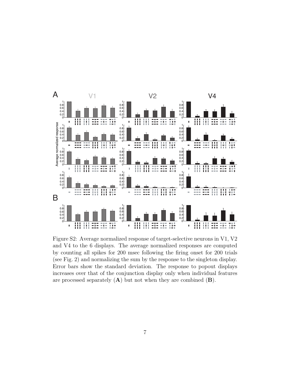

Figure S2: Average normalized response of target-selective neurons in V1, V2 and V4 to the 6 displays. The average normalized responses are computed by counting all spikes for 200 msec following the firing onset for 200 trials (see Fig. 2) and normalizing the sum by the response to the singleton display. Error bars show the standard deviation. The response to popout displays increases over that of the conjunction display only when individual features are processed separately  $(A)$  but not when they are combined  $(B)$ .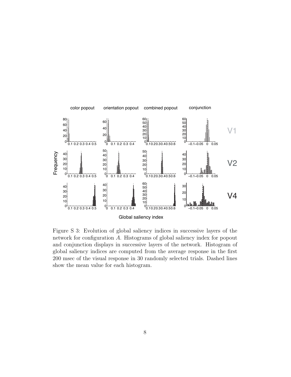

Figure S 3: Evolution of global saliency indices in successive layers of the network for configuration A. Histograms of global saliency index for popout and conjunction displays in successive layers of the network. Histogram of global saliency indices are computed from the average response in the first 200 msec of the visual response in 30 randomly selected trials. Dashed lines show the mean value for each histogram.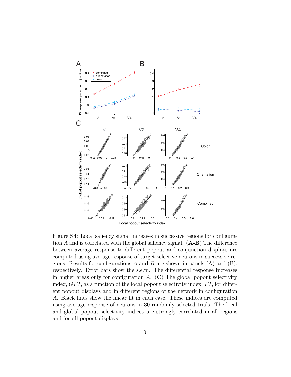

Figure S4: Local saliency signal increases in successive regions for configuration A and is correlated with the global saliency signal.  $(A-B)$  The difference between average response to different popout and conjunction displays are computed using average response of target-selective neurons in successive regions. Results for configurations A and B are shown in panels  $(A)$  and  $(B)$ , respectively. Error bars show the s.e.m. The differential response increases in higher areas only for configuration  $A$ . (C) The global popout selectivity index,  $GPI$ , as a function of the local popout selectivity index,  $PI$ , for different popout displays and in different regions of the network in configuration A. Black lines show the linear fit in each case. These indices are computed using average response of neurons in 30 randomly selected trials. The local and global popout selectivity indices are strongly correlated in all regions and for all popout displays.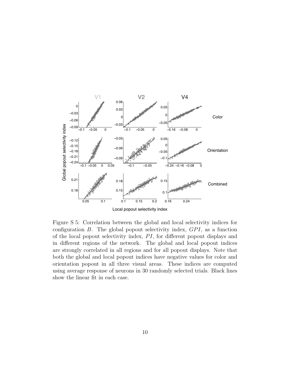

Figure S 5: Correlation between the global and local selectivity indices for configuration  $B$ . The global popout selectivity index,  $GPI$ , as a function of the local popout selectivity index,  $PI$ , for different popout displays and in different regions of the network. The global and local popout indices are strongly correlated in all regions and for all popout displays. Note that both the global and local popout indices have negative values for color and orientation popout in all three visual areas. These indices are computed using average response of neurons in 30 randomly selected trials. Black lines show the linear fit in each case.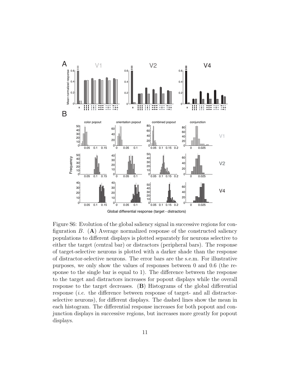

Figure S6: Evolution of the global saliency signal in successive regions for configuration  $B$ . (A) Average normalized response of the constructed saliency populations to different displays is plotted separately for neurons selective to either the target (central bar) or distractors (peripheral bars). The response of target-selective neurons is plotted with a darker shade than the response of distractor-selective neurons. The error bars are the s.e.m. For illustrative purposes, we only show the values of responses between 0 and 0.6 (the response to the single bar is equal to 1). The difference between the response to the target and distractors increases for popout displays while the overall response to the target decreases. (B) Histograms of the global differential response (i.e. the difference between response of target- and all distractorselective neurons), for different displays. The dashed lines show the mean in each histogram. The differential response increases for both popout and conjunction displays in successive regions, but increases more greatly for popout displays.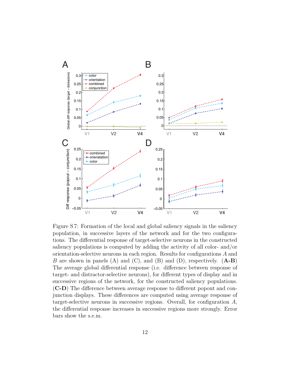

Figure S 7: Formation of the local and global saliency signals in the saliency population, in successive layers of the network and for the two configurations. The differential response of target-selective neurons in the constructed saliency populations is computed by adding the activity of all color- and/or orientation-selective neurons in each region. Results for configurations A and B are shown in panels (A) and (C), and (B) and (D), respectively.  $(A-B)$ The average global differential response (i.e. difference between response of target- and distractor-selective neurons), for different types of display and in successive regions of the network, for the constructed saliency populations. (C-D) The difference between average response to different popout and conjunction displays. These differences are computed using average response of target-selective neurons in successive regions. Overall, for configuration A, the differential response increases in successive regions more strongly. Error bars show the s.e.m.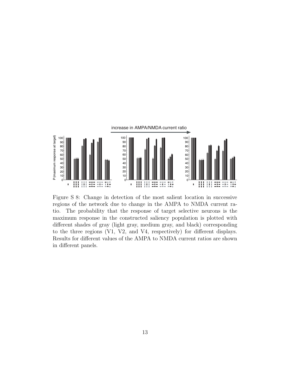

Figure S 8: Change in detection of the most salient location in successive regions of the network due to change in the AMPA to NMDA current ratio. The probability that the response of target selective neurons is the maximum response in the constructed saliency population is plotted with different shades of gray (light gray, medium gray, and black) corresponding to the three regions (V1, V2, and V4, respectively) for different displays. Results for different values of the AMPA to NMDA current ratios are shown in different panels.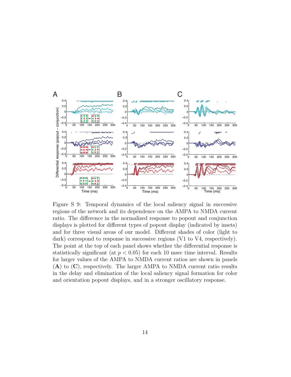

Figure S 9: Temporal dynamics of the local saliency signal in successive regions of the network and its dependence on the AMPA to NMDA current ratio. The difference in the normalized response to popout and conjunction displays is plotted for different types of popout display (indicated by insets) and for three visual areas of our model. Different shades of color (light to dark) correspond to response in successive regions (V1 to V4, respectively). The point at the top of each panel shows whether the differential response is statistically significant (at  $p < 0.05$ ) for each 10 msec time interval. Results for larger values of the AMPA to NMDA current ratios are shown in panels (A) to (C), respectively. The larger AMPA to NMDA current ratio results in the delay and elimination of the local saliency signal formation for color and orientation popout displays, and in a stronger oscillatory response.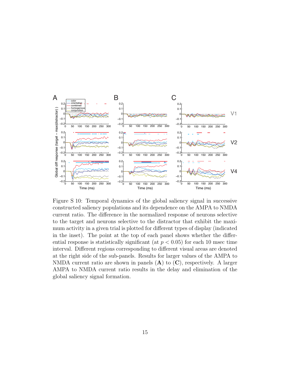

Figure S 10: Temporal dynamics of the global saliency signal in successive constructed saliency populations and its dependence on the AMPA to NMDA current ratio. The difference in the normalized response of neurons selective to the target and neurons selective to the distractor that exhibit the maximum activity in a given trial is plotted for different types of display (indicated in the inset). The point at the top of each panel shows whether the differential response is statistically significant (at  $p < 0.05$ ) for each 10 msec time interval. Different regions corresponding to different visual areas are denoted at the right side of the sub-panels. Results for larger values of the AMPA to NMDA current ratio are shown in panels  $(A)$  to  $(C)$ , respectively. A larger AMPA to NMDA current ratio results in the delay and elimination of the global saliency signal formation.